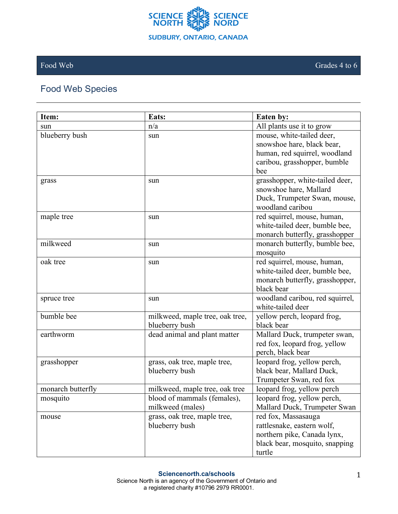

## Food Web Species

| Item:             | Eats:                           | Eaten by:                                                     |
|-------------------|---------------------------------|---------------------------------------------------------------|
| sun               | n/a                             | All plants use it to grow                                     |
| blueberry bush    | sun                             | mouse, white-tailed deer,                                     |
|                   |                                 | snowshoe hare, black bear,                                    |
|                   |                                 | human, red squirrel, woodland                                 |
|                   |                                 | caribou, grasshopper, bumble                                  |
|                   |                                 | bee                                                           |
| grass             | sun                             | grasshopper, white-tailed deer,                               |
|                   |                                 | snowshoe hare, Mallard                                        |
|                   |                                 | Duck, Trumpeter Swan, mouse,                                  |
|                   |                                 | woodland caribou                                              |
| maple tree        | sun                             | red squirrel, mouse, human,                                   |
|                   |                                 | white-tailed deer, bumble bee,                                |
|                   |                                 | monarch butterfly, grasshopper                                |
| milkweed          | sun                             | monarch butterfly, bumble bee,<br>mosquito                    |
| oak tree          |                                 |                                                               |
|                   | sun                             | red squirrel, mouse, human,<br>white-tailed deer, bumble bee, |
|                   |                                 | monarch butterfly, grasshopper,                               |
|                   |                                 | black bear                                                    |
| spruce tree       | sun                             | woodland caribou, red squirrel,                               |
|                   |                                 | white-tailed deer                                             |
| bumble bee        | milkweed, maple tree, oak tree, | yellow perch, leopard frog,                                   |
|                   | blueberry bush                  | black bear                                                    |
| earthworm         | dead animal and plant matter    | Mallard Duck, trumpeter swan,                                 |
|                   |                                 | red fox, leopard frog, yellow                                 |
|                   |                                 | perch, black bear                                             |
| grasshopper       | grass, oak tree, maple tree,    | leopard frog, yellow perch,                                   |
|                   | blueberry bush                  | black bear, Mallard Duck,                                     |
|                   |                                 | Trumpeter Swan, red fox                                       |
| monarch butterfly | milkweed, maple tree, oak tree  | leopard frog, yellow perch                                    |
| mosquito          | blood of mammals (females),     | leopard frog, yellow perch,                                   |
|                   | milkweed (males)                | Mallard Duck, Trumpeter Swan                                  |
| mouse             | grass, oak tree, maple tree,    | red fox, Massasauga                                           |
|                   | blueberry bush                  | rattlesnake, eastern wolf,                                    |
|                   |                                 | northern pike, Canada lynx,                                   |
|                   |                                 | black bear, mosquito, snapping                                |
|                   |                                 | turtle                                                        |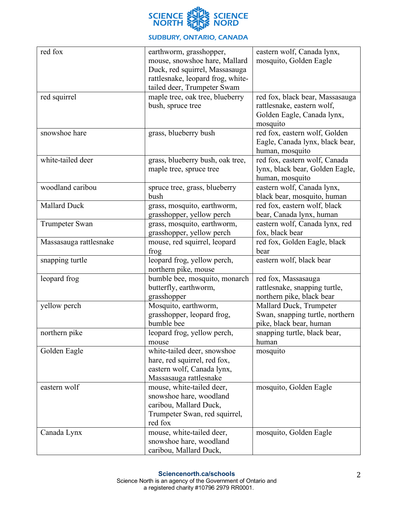

## **SUDBURY, ONTARIO, CANADA**

| red fox                | earthworm, grasshopper,           | eastern wolf, Canada lynx,      |
|------------------------|-----------------------------------|---------------------------------|
|                        | mouse, snowshoe hare, Mallard     | mosquito, Golden Eagle          |
|                        | Duck, red squirrel, Massasauga    |                                 |
|                        | rattlesnake, leopard frog, white- |                                 |
|                        | tailed deer, Trumpeter Swam       |                                 |
| red squirrel           | maple tree, oak tree, blueberry   | red fox, black bear, Massasauga |
|                        | bush, spruce tree                 | rattlesnake, eastern wolf,      |
|                        |                                   | Golden Eagle, Canada lynx,      |
|                        |                                   | mosquito                        |
| snowshoe hare          | grass, blueberry bush             | red fox, eastern wolf, Golden   |
|                        |                                   | Eagle, Canada lynx, black bear, |
|                        |                                   | human, mosquito                 |
| white-tailed deer      | grass, blueberry bush, oak tree,  | red fox, eastern wolf, Canada   |
|                        | maple tree, spruce tree           | lynx, black bear, Golden Eagle, |
|                        |                                   | human, mosquito                 |
| woodland caribou       | spruce tree, grass, blueberry     | eastern wolf, Canada lynx,      |
|                        | bush                              | black bear, mosquito, human     |
| <b>Mallard Duck</b>    | grass, mosquito, earthworm,       | red fox, eastern wolf, black    |
|                        | grasshopper, yellow perch         | bear, Canada lynx, human        |
| <b>Trumpeter Swan</b>  | grass, mosquito, earthworm,       | eastern wolf, Canada lynx, red  |
|                        | grasshopper, yellow perch         | fox, black bear                 |
| Massasauga rattlesnake | mouse, red squirrel, leopard      | red fox, Golden Eagle, black    |
|                        | frog                              | bear                            |
| snapping turtle        | leopard frog, yellow perch,       | eastern wolf, black bear        |
|                        | northern pike, mouse              |                                 |
| leopard frog           | bumble bee, mosquito, monarch     | red fox, Massasauga             |
|                        | butterfly, earthworm,             | rattlesnake, snapping turtle,   |
|                        | grasshopper                       | northern pike, black bear       |
| yellow perch           | Mosquito, earthworm,              | Mallard Duck, Trumpeter         |
|                        | grasshopper, leopard frog,        | Swan, snapping turtle, northern |
|                        | bumble bee                        | pike, black bear, human         |
| northern pike          | leopard frog, yellow perch,       | snapping turtle, black bear,    |
|                        | mouse                             | human                           |
| Golden Eagle           | white-tailed deer, snowshoe       | mosquito                        |
|                        | hare, red squirrel, red fox,      |                                 |
|                        | eastern wolf, Canada lynx,        |                                 |
|                        | Massasauga rattlesnake            |                                 |
| eastern wolf           | mouse, white-tailed deer,         | mosquito, Golden Eagle          |
|                        | snowshoe hare, woodland           |                                 |
|                        | caribou, Mallard Duck,            |                                 |
|                        | Trumpeter Swan, red squirrel,     |                                 |
|                        | red fox                           |                                 |
| Canada Lynx            | mouse, white-tailed deer,         | mosquito, Golden Eagle          |
|                        | snowshoe hare, woodland           |                                 |
|                        | caribou, Mallard Duck,            |                                 |